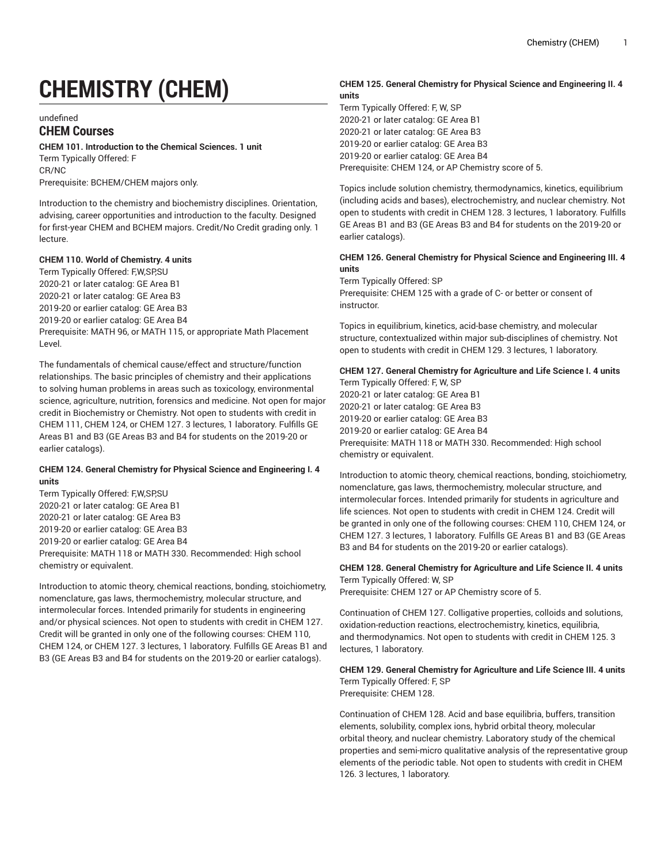# **CHEMISTRY (CHEM)**

undefined

# **CHEM Courses**

**CHEM 101. Introduction to the Chemical Sciences. 1 unit**

Term Typically Offered: F CR/NC

Prerequisite: BCHEM/CHEM majors only.

Introduction to the chemistry and biochemistry disciplines. Orientation, advising, career opportunities and introduction to the faculty. Designed for first-year CHEM and BCHEM majors. Credit/No Credit grading only. 1 lecture.

#### **CHEM 110. World of Chemistry. 4 units**

Term Typically Offered: F,W,SP,SU 2020-21 or later catalog: GE Area B1 2020-21 or later catalog: GE Area B3 2019-20 or earlier catalog: GE Area B3 2019-20 or earlier catalog: GE Area B4 Prerequisite: MATH 96, or MATH 115, or appropriate Math Placement Level.

The fundamentals of chemical cause/effect and structure/function relationships. The basic principles of chemistry and their applications to solving human problems in areas such as toxicology, environmental science, agriculture, nutrition, forensics and medicine. Not open for major credit in Biochemistry or Chemistry. Not open to students with credit in CHEM 111, CHEM 124, or CHEM 127. 3 lectures, 1 laboratory. Fulfills GE Areas B1 and B3 (GE Areas B3 and B4 for students on the 2019-20 or earlier catalogs).

## **CHEM 124. General Chemistry for Physical Science and Engineering I. 4 units**

Term Typically Offered: F,W,SP,SU 2020-21 or later catalog: GE Area B1 2020-21 or later catalog: GE Area B3 2019-20 or earlier catalog: GE Area B3 2019-20 or earlier catalog: GE Area B4 Prerequisite: MATH 118 or MATH 330. Recommended: High school chemistry or equivalent.

Introduction to atomic theory, chemical reactions, bonding, stoichiometry, nomenclature, gas laws, thermochemistry, molecular structure, and intermolecular forces. Intended primarily for students in engineering and/or physical sciences. Not open to students with credit in CHEM 127. Credit will be granted in only one of the following courses: CHEM 110, CHEM 124, or CHEM 127. 3 lectures, 1 laboratory. Fulfills GE Areas B1 and B3 (GE Areas B3 and B4 for students on the 2019-20 or earlier catalogs).

#### **CHEM 125. General Chemistry for Physical Science and Engineering II. 4 units**

Term Typically Offered: F, W, SP 2020-21 or later catalog: GE Area B1 2020-21 or later catalog: GE Area B3 2019-20 or earlier catalog: GE Area B3 2019-20 or earlier catalog: GE Area B4 Prerequisite: CHEM 124, or AP Chemistry score of 5.

Topics include solution chemistry, thermodynamics, kinetics, equilibrium (including acids and bases), electrochemistry, and nuclear chemistry. Not open to students with credit in CHEM 128. 3 lectures, 1 laboratory. Fulfills GE Areas B1 and B3 (GE Areas B3 and B4 for students on the 2019-20 or earlier catalogs).

## **CHEM 126. General Chemistry for Physical Science and Engineering III. 4 units**

Term Typically Offered: SP Prerequisite: CHEM 125 with a grade of C- or better or consent of instructor.

Topics in equilibrium, kinetics, acid-base chemistry, and molecular structure, contextualized within major sub-disciplines of chemistry. Not open to students with credit in CHEM 129. 3 lectures, 1 laboratory.

## **CHEM 127. General Chemistry for Agriculture and Life Science I. 4 units**

Term Typically Offered: F, W, SP 2020-21 or later catalog: GE Area B1 2020-21 or later catalog: GE Area B3 2019-20 or earlier catalog: GE Area B3 2019-20 or earlier catalog: GE Area B4 Prerequisite: MATH 118 or MATH 330. Recommended: High school chemistry or equivalent.

Introduction to atomic theory, chemical reactions, bonding, stoichiometry, nomenclature, gas laws, thermochemistry, molecular structure, and intermolecular forces. Intended primarily for students in agriculture and life sciences. Not open to students with credit in CHEM 124. Credit will be granted in only one of the following courses: CHEM 110, CHEM 124, or CHEM 127. 3 lectures, 1 laboratory. Fulfills GE Areas B1 and B3 (GE Areas B3 and B4 for students on the 2019-20 or earlier catalogs).

# **CHEM 128. General Chemistry for Agriculture and Life Science II. 4 units** Term Typically Offered: W, SP

Prerequisite: CHEM 127 or AP Chemistry score of 5.

Continuation of CHEM 127. Colligative properties, colloids and solutions, oxidation-reduction reactions, electrochemistry, kinetics, equilibria, and thermodynamics. Not open to students with credit in CHEM 125. 3 lectures, 1 laboratory.

#### **CHEM 129. General Chemistry for Agriculture and Life Science III. 4 units** Term Typically Offered: F, SP Prerequisite: CHEM 128.

Continuation of CHEM 128. Acid and base equilibria, buffers, transition elements, solubility, complex ions, hybrid orbital theory, molecular orbital theory, and nuclear chemistry. Laboratory study of the chemical properties and semi-micro qualitative analysis of the representative group elements of the periodic table. Not open to students with credit in CHEM 126. 3 lectures, 1 laboratory.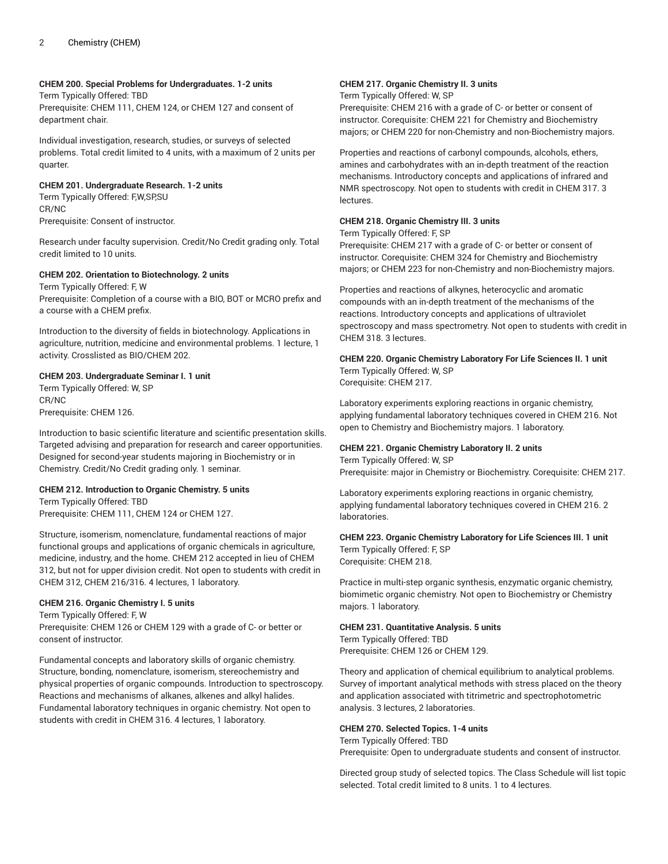#### **CHEM 200. Special Problems for Undergraduates. 1-2 units**

Term Typically Offered: TBD Prerequisite: CHEM 111, CHEM 124, or CHEM 127 and consent of department chair.

Individual investigation, research, studies, or surveys of selected problems. Total credit limited to 4 units, with a maximum of 2 units per quarter.

## **CHEM 201. Undergraduate Research. 1-2 units**

Term Typically Offered: F,W,SP,SU CR/NC Prerequisite: Consent of instructor.

Research under faculty supervision. Credit/No Credit grading only. Total credit limited to 10 units.

## **CHEM 202. Orientation to Biotechnology. 2 units**

Term Typically Offered: F, W Prerequisite: Completion of a course with a BIO, BOT or MCRO prefix and a course with a CHEM prefix.

Introduction to the diversity of fields in biotechnology. Applications in agriculture, nutrition, medicine and environmental problems. 1 lecture, 1 activity. Crosslisted as BIO/CHEM 202.

#### **CHEM 203. Undergraduate Seminar I. 1 unit**

Term Typically Offered: W, SP CR/NC Prerequisite: CHEM 126.

Introduction to basic scientific literature and scientific presentation skills. Targeted advising and preparation for research and career opportunities. Designed for second-year students majoring in Biochemistry or in Chemistry. Credit/No Credit grading only. 1 seminar.

#### **CHEM 212. Introduction to Organic Chemistry. 5 units**

Term Typically Offered: TBD Prerequisite: CHEM 111, CHEM 124 or CHEM 127.

Structure, isomerism, nomenclature, fundamental reactions of major functional groups and applications of organic chemicals in agriculture, medicine, industry, and the home. CHEM 212 accepted in lieu of CHEM 312, but not for upper division credit. Not open to students with credit in CHEM 312, CHEM 216/316. 4 lectures, 1 laboratory.

#### **CHEM 216. Organic Chemistry I. 5 units**

Term Typically Offered: F, W Prerequisite: CHEM 126 or CHEM 129 with a grade of C- or better or consent of instructor.

Fundamental concepts and laboratory skills of organic chemistry. Structure, bonding, nomenclature, isomerism, stereochemistry and physical properties of organic compounds. Introduction to spectroscopy. Reactions and mechanisms of alkanes, alkenes and alkyl halides. Fundamental laboratory techniques in organic chemistry. Not open to students with credit in CHEM 316. 4 lectures, 1 laboratory.

## **CHEM 217. Organic Chemistry II. 3 units**

Term Typically Offered: W, SP

Prerequisite: CHEM 216 with a grade of C- or better or consent of instructor. Corequisite: CHEM 221 for Chemistry and Biochemistry majors; or CHEM 220 for non-Chemistry and non-Biochemistry majors.

Properties and reactions of carbonyl compounds, alcohols, ethers, amines and carbohydrates with an in-depth treatment of the reaction mechanisms. Introductory concepts and applications of infrared and NMR spectroscopy. Not open to students with credit in CHEM 317. 3 lectures.

#### **CHEM 218. Organic Chemistry III. 3 units**

Term Typically Offered: F, SP

Prerequisite: CHEM 217 with a grade of C- or better or consent of instructor. Corequisite: CHEM 324 for Chemistry and Biochemistry majors; or CHEM 223 for non-Chemistry and non-Biochemistry majors.

Properties and reactions of alkynes, heterocyclic and aromatic compounds with an in-depth treatment of the mechanisms of the reactions. Introductory concepts and applications of ultraviolet spectroscopy and mass spectrometry. Not open to students with credit in CHEM 318. 3 lectures.

# **CHEM 220. Organic Chemistry Laboratory For Life Sciences II. 1 unit** Term Typically Offered: W, SP

Corequisite: CHEM 217.

Laboratory experiments exploring reactions in organic chemistry, applying fundamental laboratory techniques covered in CHEM 216. Not open to Chemistry and Biochemistry majors. 1 laboratory.

#### **CHEM 221. Organic Chemistry Laboratory II. 2 units** Term Typically Offered: W, SP

Prerequisite: major in Chemistry or Biochemistry. Corequisite: CHEM 217.

Laboratory experiments exploring reactions in organic chemistry, applying fundamental laboratory techniques covered in CHEM 216. 2 laboratories.

## **CHEM 223. Organic Chemistry Laboratory for Life Sciences III. 1 unit**

Term Typically Offered: F, SP Corequisite: CHEM 218.

Practice in multi-step organic synthesis, enzymatic organic chemistry, biomimetic organic chemistry. Not open to Biochemistry or Chemistry majors. 1 laboratory.

## **CHEM 231. Quantitative Analysis. 5 units**

Term Typically Offered: TBD Prerequisite: CHEM 126 or CHEM 129.

Theory and application of chemical equilibrium to analytical problems. Survey of important analytical methods with stress placed on the theory and application associated with titrimetric and spectrophotometric analysis. 3 lectures, 2 laboratories.

#### **CHEM 270. Selected Topics. 1-4 units**

Term Typically Offered: TBD Prerequisite: Open to undergraduate students and consent of instructor.

Directed group study of selected topics. The Class Schedule will list topic selected. Total credit limited to 8 units. 1 to 4 lectures.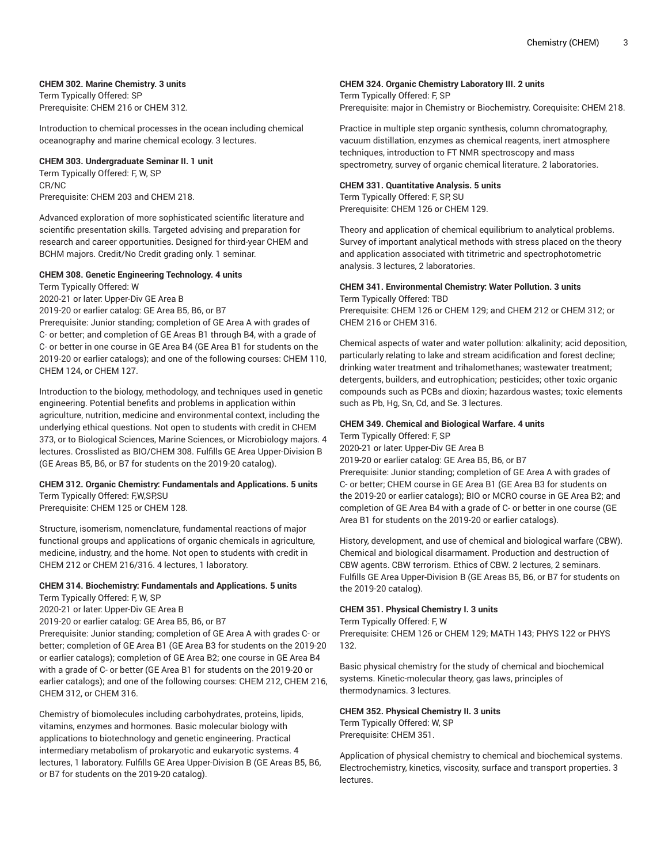#### **CHEM 302. Marine Chemistry. 3 units**

Term Typically Offered: SP Prerequisite: CHEM 216 or CHEM 312.

Introduction to chemical processes in the ocean including chemical oceanography and marine chemical ecology. 3 lectures.

**CHEM 303. Undergraduate Seminar II. 1 unit**

Term Typically Offered: F, W, SP CR/NC Prerequisite: CHEM 203 and CHEM 218.

Advanced exploration of more sophisticated scientific literature and scientific presentation skills. Targeted advising and preparation for research and career opportunities. Designed for third-year CHEM and BCHM majors. Credit/No Credit grading only. 1 seminar.

## **CHEM 308. Genetic Engineering Technology. 4 units**

Term Typically Offered: W

2020-21 or later: Upper-Div GE Area B

2019-20 or earlier catalog: GE Area B5, B6, or B7

Prerequisite: Junior standing; completion of GE Area A with grades of C- or better; and completion of GE Areas B1 through B4, with a grade of C- or better in one course in GE Area B4 (GE Area B1 for students on the 2019-20 or earlier catalogs); and one of the following courses: CHEM 110, CHEM 124, or CHEM 127.

Introduction to the biology, methodology, and techniques used in genetic engineering. Potential benefits and problems in application within agriculture, nutrition, medicine and environmental context, including the underlying ethical questions. Not open to students with credit in CHEM 373, or to Biological Sciences, Marine Sciences, or Microbiology majors. 4 lectures. Crosslisted as BIO/CHEM 308. Fulfills GE Area Upper-Division B (GE Areas B5, B6, or B7 for students on the 2019-20 catalog).

#### **CHEM 312. Organic Chemistry: Fundamentals and Applications. 5 units** Term Typically Offered: F,W,SP,SU

Prerequisite: CHEM 125 or CHEM 128.

Structure, isomerism, nomenclature, fundamental reactions of major functional groups and applications of organic chemicals in agriculture, medicine, industry, and the home. Not open to students with credit in CHEM 212 or CHEM 216/316. 4 lectures, 1 laboratory.

#### **CHEM 314. Biochemistry: Fundamentals and Applications. 5 units**

Term Typically Offered: F, W, SP

2020-21 or later: Upper-Div GE Area B

2019-20 or earlier catalog: GE Area B5, B6, or B7

Prerequisite: Junior standing; completion of GE Area A with grades C- or better; completion of GE Area B1 (GE Area B3 for students on the 2019-20 or earlier catalogs); completion of GE Area B2; one course in GE Area B4 with a grade of C- or better (GE Area B1 for students on the 2019-20 or earlier catalogs); and one of the following courses: CHEM 212, CHEM 216, CHEM 312, or CHEM 316.

Chemistry of biomolecules including carbohydrates, proteins, lipids, vitamins, enzymes and hormones. Basic molecular biology with applications to biotechnology and genetic engineering. Practical intermediary metabolism of prokaryotic and eukaryotic systems. 4 lectures, 1 laboratory. Fulfills GE Area Upper-Division B (GE Areas B5, B6, or B7 for students on the 2019-20 catalog).

#### **CHEM 324. Organic Chemistry Laboratory III. 2 units**

Term Typically Offered: F, SP Prerequisite: major in Chemistry or Biochemistry. Corequisite: CHEM 218.

Practice in multiple step organic synthesis, column chromatography, vacuum distillation, enzymes as chemical reagents, inert atmosphere techniques, introduction to FT NMR spectroscopy and mass spectrometry, survey of organic chemical literature. 2 laboratories.

#### **CHEM 331. Quantitative Analysis. 5 units**

Term Typically Offered: F, SP, SU Prerequisite: CHEM 126 or CHEM 129.

Theory and application of chemical equilibrium to analytical problems. Survey of important analytical methods with stress placed on the theory and application associated with titrimetric and spectrophotometric analysis. 3 lectures, 2 laboratories.

#### **CHEM 341. Environmental Chemistry: Water Pollution. 3 units** Term Typically Offered: TBD

Prerequisite: CHEM 126 or CHEM 129; and CHEM 212 or CHEM 312; or CHEM 216 or CHEM 316.

Chemical aspects of water and water pollution: alkalinity; acid deposition, particularly relating to lake and stream acidification and forest decline; drinking water treatment and trihalomethanes; wastewater treatment; detergents, builders, and eutrophication; pesticides; other toxic organic compounds such as PCBs and dioxin; hazardous wastes; toxic elements such as Pb, Hg, Sn, Cd, and Se. 3 lectures.

#### **CHEM 349. Chemical and Biological Warfare. 4 units**

Term Typically Offered: F, SP 2020-21 or later: Upper-Div GE Area B 2019-20 or earlier catalog: GE Area B5, B6, or B7 Prerequisite: Junior standing; completion of GE Area A with grades of C- or better; CHEM course in GE Area B1 (GE Area B3 for students on

the 2019-20 or earlier catalogs); BIO or MCRO course in GE Area B2; and completion of GE Area B4 with a grade of C- or better in one course (GE Area B1 for students on the 2019-20 or earlier catalogs).

History, development, and use of chemical and biological warfare (CBW). Chemical and biological disarmament. Production and destruction of CBW agents. CBW terrorism. Ethics of CBW. 2 lectures, 2 seminars. Fulfills GE Area Upper-Division B (GE Areas B5, B6, or B7 for students on the 2019-20 catalog).

#### **CHEM 351. Physical Chemistry I. 3 units**

Term Typically Offered: F, W

Prerequisite: CHEM 126 or CHEM 129; MATH 143; PHYS 122 or PHYS 132.

Basic physical chemistry for the study of chemical and biochemical systems. Kinetic-molecular theory, gas laws, principles of thermodynamics. 3 lectures.

#### **CHEM 352. Physical Chemistry II. 3 units**

Term Typically Offered: W, SP Prerequisite: CHEM 351.

Application of physical chemistry to chemical and biochemical systems. Electrochemistry, kinetics, viscosity, surface and transport properties. 3 lectures.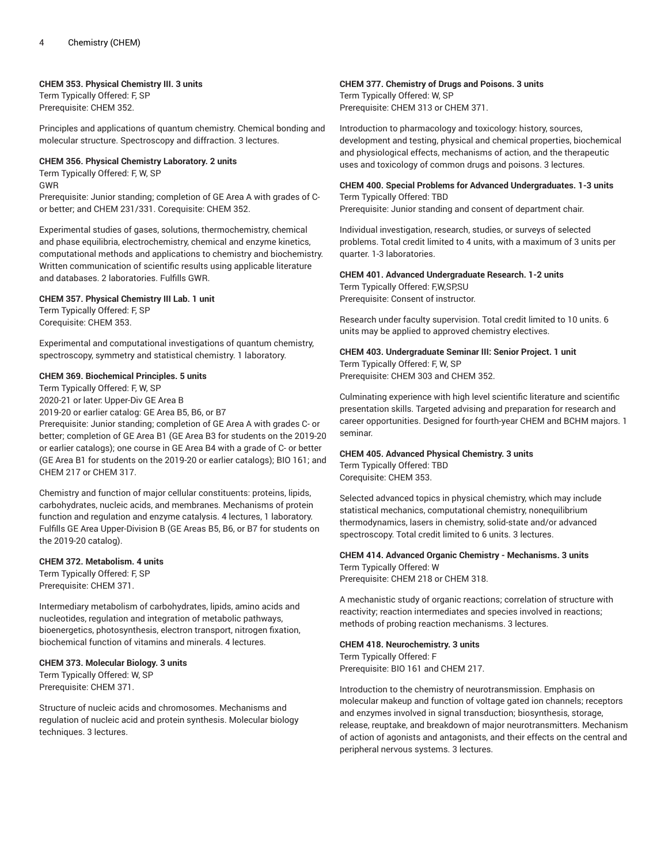#### **CHEM 353. Physical Chemistry III. 3 units**

Term Typically Offered: F, SP Prerequisite: CHEM 352.

Principles and applications of quantum chemistry. Chemical bonding and molecular structure. Spectroscopy and diffraction. 3 lectures.

#### **CHEM 356. Physical Chemistry Laboratory. 2 units**

Term Typically Offered: F, W, SP

GWR

Prerequisite: Junior standing; completion of GE Area A with grades of Cor better; and CHEM 231/331. Corequisite: CHEM 352.

Experimental studies of gases, solutions, thermochemistry, chemical and phase equilibria, electrochemistry, chemical and enzyme kinetics, computational methods and applications to chemistry and biochemistry. Written communication of scientific results using applicable literature and databases. 2 laboratories. Fulfills GWR.

#### **CHEM 357. Physical Chemistry III Lab. 1 unit**

Term Typically Offered: F, SP Corequisite: CHEM 353.

Experimental and computational investigations of quantum chemistry, spectroscopy, symmetry and statistical chemistry. 1 laboratory.

#### **CHEM 369. Biochemical Principles. 5 units**

Term Typically Offered: F, W, SP

2020-21 or later: Upper-Div GE Area B

2019-20 or earlier catalog: GE Area B5, B6, or B7

Prerequisite: Junior standing; completion of GE Area A with grades C- or better; completion of GE Area B1 (GE Area B3 for students on the 2019-20 or earlier catalogs); one course in GE Area B4 with a grade of C- or better (GE Area B1 for students on the 2019-20 or earlier catalogs); BIO 161; and CHEM 217 or CHEM 317.

Chemistry and function of major cellular constituents: proteins, lipids, carbohydrates, nucleic acids, and membranes. Mechanisms of protein function and regulation and enzyme catalysis. 4 lectures, 1 laboratory. Fulfills GE Area Upper-Division B (GE Areas B5, B6, or B7 for students on the 2019-20 catalog).

#### **CHEM 372. Metabolism. 4 units**

Term Typically Offered: F, SP Prerequisite: CHEM 371.

Intermediary metabolism of carbohydrates, lipids, amino acids and nucleotides, regulation and integration of metabolic pathways, bioenergetics, photosynthesis, electron transport, nitrogen fixation, biochemical function of vitamins and minerals. 4 lectures.

#### **CHEM 373. Molecular Biology. 3 units**

Term Typically Offered: W, SP Prerequisite: CHEM 371.

Structure of nucleic acids and chromosomes. Mechanisms and regulation of nucleic acid and protein synthesis. Molecular biology techniques. 3 lectures.

## **CHEM 377. Chemistry of Drugs and Poisons. 3 units**

Term Typically Offered: W, SP Prerequisite: CHEM 313 or CHEM 371.

Introduction to pharmacology and toxicology: history, sources, development and testing, physical and chemical properties, biochemical and physiological effects, mechanisms of action, and the therapeutic uses and toxicology of common drugs and poisons. 3 lectures.

#### **CHEM 400. Special Problems for Advanced Undergraduates. 1-3 units** Term Typically Offered: TBD

Prerequisite: Junior standing and consent of department chair.

Individual investigation, research, studies, or surveys of selected problems. Total credit limited to 4 units, with a maximum of 3 units per quarter. 1-3 laboratories.

#### **CHEM 401. Advanced Undergraduate Research. 1-2 units**

Term Typically Offered: F,W,SP,SU Prerequisite: Consent of instructor.

Research under faculty supervision. Total credit limited to 10 units. 6 units may be applied to approved chemistry electives.

#### **CHEM 403. Undergraduate Seminar III: Senior Project. 1 unit** Term Typically Offered: F, W, SP Prerequisite: CHEM 303 and CHEM 352.

Culminating experience with high level scientific literature and scientific presentation skills. Targeted advising and preparation for research and career opportunities. Designed for fourth-year CHEM and BCHM majors. 1 seminar.

#### **CHEM 405. Advanced Physical Chemistry. 3 units**

Term Typically Offered: TBD Corequisite: CHEM 353.

Selected advanced topics in physical chemistry, which may include statistical mechanics, computational chemistry, nonequilibrium thermodynamics, lasers in chemistry, solid-state and/or advanced spectroscopy. Total credit limited to 6 units. 3 lectures.

## **CHEM 414. Advanced Organic Chemistry - Mechanisms. 3 units**

Term Typically Offered: W Prerequisite: CHEM 218 or CHEM 318.

A mechanistic study of organic reactions; correlation of structure with reactivity; reaction intermediates and species involved in reactions; methods of probing reaction mechanisms. 3 lectures.

# **CHEM 418. Neurochemistry. 3 units**

Term Typically Offered: F Prerequisite: BIO 161 and CHEM 217.

Introduction to the chemistry of neurotransmission. Emphasis on molecular makeup and function of voltage gated ion channels; receptors and enzymes involved in signal transduction; biosynthesis, storage, release, reuptake, and breakdown of major neurotransmitters. Mechanism of action of agonists and antagonists, and their effects on the central and peripheral nervous systems. 3 lectures.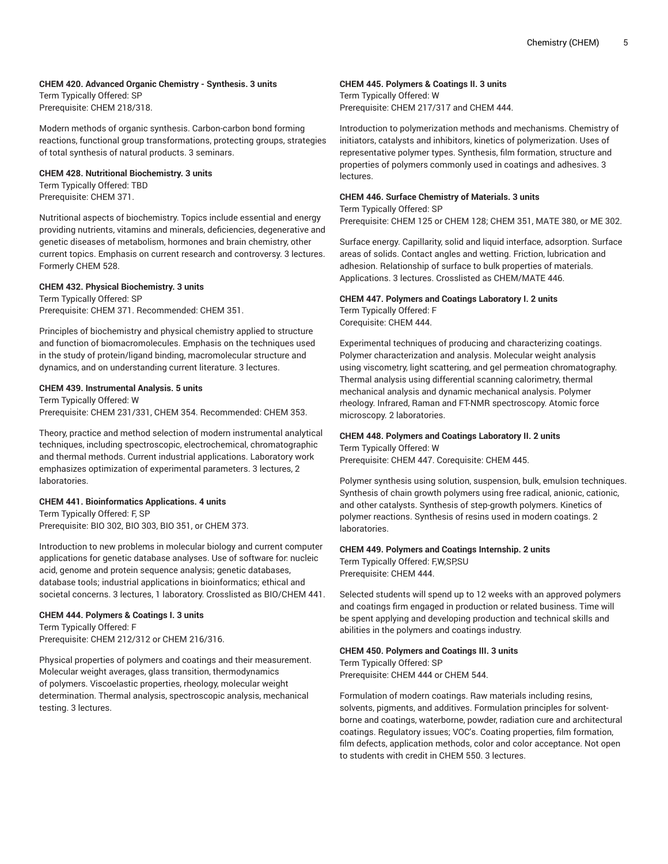## **CHEM 420. Advanced Organic Chemistry - Synthesis. 3 units**

Term Typically Offered: SP Prerequisite: CHEM 218/318.

Modern methods of organic synthesis. Carbon-carbon bond forming reactions, functional group transformations, protecting groups, strategies of total synthesis of natural products. 3 seminars.

## **CHEM 428. Nutritional Biochemistry. 3 units**

Term Typically Offered: TBD Prerequisite: CHEM 371.

Nutritional aspects of biochemistry. Topics include essential and energy providing nutrients, vitamins and minerals, deficiencies, degenerative and genetic diseases of metabolism, hormones and brain chemistry, other current topics. Emphasis on current research and controversy. 3 lectures. Formerly CHEM 528.

#### **CHEM 432. Physical Biochemistry. 3 units**

Term Typically Offered: SP Prerequisite: CHEM 371. Recommended: CHEM 351.

Principles of biochemistry and physical chemistry applied to structure and function of biomacromolecules. Emphasis on the techniques used in the study of protein/ligand binding, macromolecular structure and dynamics, and on understanding current literature. 3 lectures.

#### **CHEM 439. Instrumental Analysis. 5 units**

Term Typically Offered: W Prerequisite: CHEM 231/331, CHEM 354. Recommended: CHEM 353.

Theory, practice and method selection of modern instrumental analytical techniques, including spectroscopic, electrochemical, chromatographic and thermal methods. Current industrial applications. Laboratory work emphasizes optimization of experimental parameters. 3 lectures, 2 laboratories.

#### **CHEM 441. Bioinformatics Applications. 4 units**

Term Typically Offered: F, SP Prerequisite: BIO 302, BIO 303, BIO 351, or CHEM 373.

Introduction to new problems in molecular biology and current computer applications for genetic database analyses. Use of software for: nucleic acid, genome and protein sequence analysis; genetic databases, database tools; industrial applications in bioinformatics; ethical and societal concerns. 3 lectures, 1 laboratory. Crosslisted as BIO/CHEM 441.

#### **CHEM 444. Polymers & Coatings I. 3 units**

Term Typically Offered: F Prerequisite: CHEM 212/312 or CHEM 216/316.

Physical properties of polymers and coatings and their measurement. Molecular weight averages, glass transition, thermodynamics of polymers. Viscoelastic properties, rheology, molecular weight determination. Thermal analysis, spectroscopic analysis, mechanical testing. 3 lectures.

## **CHEM 445. Polymers & Coatings II. 3 units**

Term Typically Offered: W Prerequisite: CHEM 217/317 and CHEM 444.

Introduction to polymerization methods and mechanisms. Chemistry of initiators, catalysts and inhibitors, kinetics of polymerization. Uses of representative polymer types. Synthesis, film formation, structure and properties of polymers commonly used in coatings and adhesives. 3 lectures.

## **CHEM 446. Surface Chemistry of Materials. 3 units**

Term Typically Offered: SP

Prerequisite: CHEM 125 or CHEM 128; CHEM 351, MATE 380, or ME 302.

Surface energy. Capillarity, solid and liquid interface, adsorption. Surface areas of solids. Contact angles and wetting. Friction, lubrication and adhesion. Relationship of surface to bulk properties of materials. Applications. 3 lectures. Crosslisted as CHEM/MATE 446.

#### **CHEM 447. Polymers and Coatings Laboratory I. 2 units** Term Typically Offered: F

Corequisite: CHEM 444.

Experimental techniques of producing and characterizing coatings. Polymer characterization and analysis. Molecular weight analysis using viscometry, light scattering, and gel permeation chromatography. Thermal analysis using differential scanning calorimetry, thermal mechanical analysis and dynamic mechanical analysis. Polymer rheology. Infrared, Raman and FT-NMR spectroscopy. Atomic force microscopy. 2 laboratories.

# **CHEM 448. Polymers and Coatings Laboratory II. 2 units**

Term Typically Offered: W Prerequisite: CHEM 447. Corequisite: CHEM 445.

Polymer synthesis using solution, suspension, bulk, emulsion techniques. Synthesis of chain growth polymers using free radical, anionic, cationic, and other catalysts. Synthesis of step-growth polymers. Kinetics of polymer reactions. Synthesis of resins used in modern coatings. 2 laboratories.

# **CHEM 449. Polymers and Coatings Internship. 2 units**

Term Typically Offered: F,W,SP,SU Prerequisite: CHEM 444.

Selected students will spend up to 12 weeks with an approved polymers and coatings firm engaged in production or related business. Time will be spent applying and developing production and technical skills and abilities in the polymers and coatings industry.

#### **CHEM 450. Polymers and Coatings III. 3 units** Term Typically Offered: SP

Prerequisite: CHEM 444 or CHEM 544.

Formulation of modern coatings. Raw materials including resins, solvents, pigments, and additives. Formulation principles for solventborne and coatings, waterborne, powder, radiation cure and architectural coatings. Regulatory issues; VOC's. Coating properties, film formation, film defects, application methods, color and color acceptance. Not open to students with credit in CHEM 550. 3 lectures.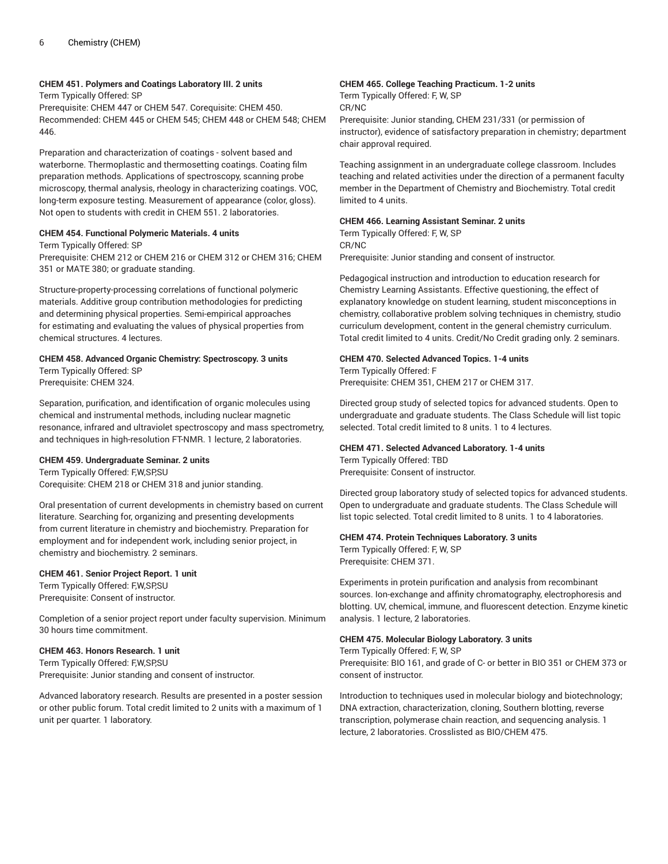#### **CHEM 451. Polymers and Coatings Laboratory III. 2 units**

Term Typically Offered: SP

Prerequisite: CHEM 447 or CHEM 547. Corequisite: CHEM 450. Recommended: CHEM 445 or CHEM 545; CHEM 448 or CHEM 548; CHEM 446.

Preparation and characterization of coatings - solvent based and waterborne. Thermoplastic and thermosetting coatings. Coating film preparation methods. Applications of spectroscopy, scanning probe microscopy, thermal analysis, rheology in characterizing coatings. VOC, long-term exposure testing. Measurement of appearance (color, gloss). Not open to students with credit in CHEM 551. 2 laboratories.

## **CHEM 454. Functional Polymeric Materials. 4 units**

Term Typically Offered: SP

Prerequisite: CHEM 212 or CHEM 216 or CHEM 312 or CHEM 316; CHEM 351 or MATE 380; or graduate standing.

Structure-property-processing correlations of functional polymeric materials. Additive group contribution methodologies for predicting and determining physical properties. Semi-empirical approaches for estimating and evaluating the values of physical properties from chemical structures. 4 lectures.

# **CHEM 458. Advanced Organic Chemistry: Spectroscopy. 3 units**

Term Typically Offered: SP Prerequisite: CHEM 324.

Separation, purification, and identification of organic molecules using chemical and instrumental methods, including nuclear magnetic resonance, infrared and ultraviolet spectroscopy and mass spectrometry, and techniques in high-resolution FT-NMR. 1 lecture, 2 laboratories.

#### **CHEM 459. Undergraduate Seminar. 2 units**

Term Typically Offered: F,W,SP,SU Corequisite: CHEM 218 or CHEM 318 and junior standing.

Oral presentation of current developments in chemistry based on current literature. Searching for, organizing and presenting developments from current literature in chemistry and biochemistry. Preparation for employment and for independent work, including senior project, in chemistry and biochemistry. 2 seminars.

#### **CHEM 461. Senior Project Report. 1 unit**

Term Typically Offered: F,W,SP,SU Prerequisite: Consent of instructor.

Completion of a senior project report under faculty supervision. Minimum 30 hours time commitment.

#### **CHEM 463. Honors Research. 1 unit**

Term Typically Offered: F,W,SP,SU Prerequisite: Junior standing and consent of instructor.

Advanced laboratory research. Results are presented in a poster session or other public forum. Total credit limited to 2 units with a maximum of 1 unit per quarter. 1 laboratory.

#### **CHEM 465. College Teaching Practicum. 1-2 units**

Term Typically Offered: F, W, SP

CR/NC

Prerequisite: Junior standing, CHEM 231/331 (or permission of instructor), evidence of satisfactory preparation in chemistry; department chair approval required.

Teaching assignment in an undergraduate college classroom. Includes teaching and related activities under the direction of a permanent faculty member in the Department of Chemistry and Biochemistry. Total credit limited to 4 units.

#### **CHEM 466. Learning Assistant Seminar. 2 units**

Term Typically Offered: F, W, SP CR/NC Prerequisite: Junior standing and consent of instructor.

Pedagogical instruction and introduction to education research for Chemistry Learning Assistants. Effective questioning, the effect of explanatory knowledge on student learning, student misconceptions in chemistry, collaborative problem solving techniques in chemistry, studio curriculum development, content in the general chemistry curriculum. Total credit limited to 4 units. Credit/No Credit grading only. 2 seminars.

#### **CHEM 470. Selected Advanced Topics. 1-4 units**

Term Typically Offered: F Prerequisite: CHEM 351, CHEM 217 or CHEM 317.

Directed group study of selected topics for advanced students. Open to undergraduate and graduate students. The Class Schedule will list topic selected. Total credit limited to 8 units. 1 to 4 lectures.

## **CHEM 471. Selected Advanced Laboratory. 1-4 units**

Term Typically Offered: TBD

Prerequisite: Consent of instructor.

Directed group laboratory study of selected topics for advanced students. Open to undergraduate and graduate students. The Class Schedule will list topic selected. Total credit limited to 8 units. 1 to 4 laboratories.

#### **CHEM 474. Protein Techniques Laboratory. 3 units**

Term Typically Offered: F, W, SP Prerequisite: CHEM 371.

Experiments in protein purification and analysis from recombinant sources. Ion-exchange and affinity chromatography, electrophoresis and blotting. UV, chemical, immune, and fluorescent detection. Enzyme kinetic analysis. 1 lecture, 2 laboratories.

#### **CHEM 475. Molecular Biology Laboratory. 3 units**

Term Typically Offered: F, W, SP Prerequisite: BIO 161, and grade of C- or better in BIO 351 or CHEM 373 or consent of instructor.

Introduction to techniques used in molecular biology and biotechnology; DNA extraction, characterization, cloning, Southern blotting, reverse transcription, polymerase chain reaction, and sequencing analysis. 1 lecture, 2 laboratories. Crosslisted as BIO/CHEM 475.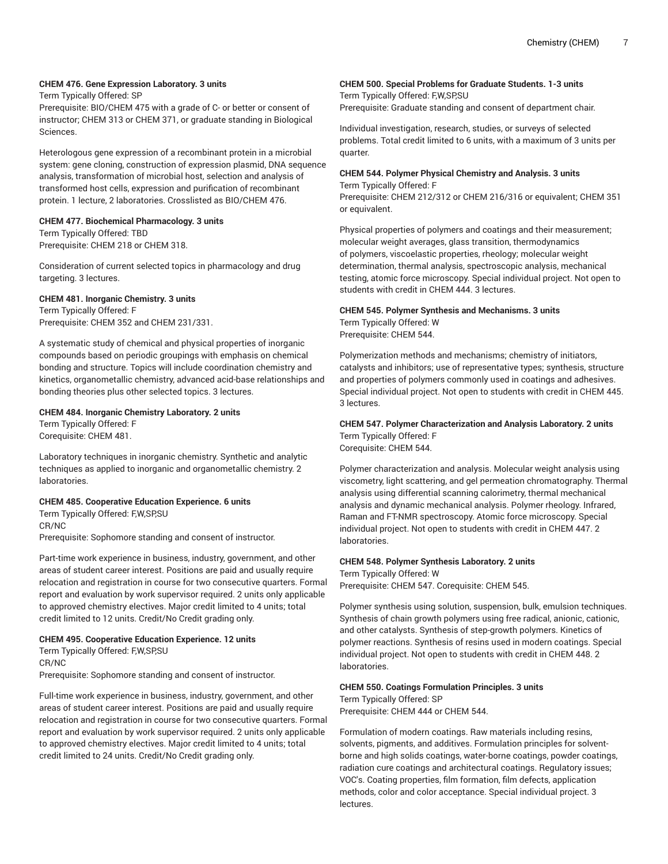## **CHEM 476. Gene Expression Laboratory. 3 units**

Term Typically Offered: SP

Prerequisite: BIO/CHEM 475 with a grade of C- or better or consent of instructor; CHEM 313 or CHEM 371, or graduate standing in Biological Sciences.

Heterologous gene expression of a recombinant protein in a microbial system: gene cloning, construction of expression plasmid, DNA sequence analysis, transformation of microbial host, selection and analysis of transformed host cells, expression and purification of recombinant protein. 1 lecture, 2 laboratories. Crosslisted as BIO/CHEM 476.

#### **CHEM 477. Biochemical Pharmacology. 3 units**

Term Typically Offered: TBD Prerequisite: CHEM 218 or CHEM 318.

Consideration of current selected topics in pharmacology and drug targeting. 3 lectures.

#### **CHEM 481. Inorganic Chemistry. 3 units**

Term Typically Offered: F Prerequisite: CHEM 352 and CHEM 231/331.

A systematic study of chemical and physical properties of inorganic compounds based on periodic groupings with emphasis on chemical bonding and structure. Topics will include coordination chemistry and kinetics, organometallic chemistry, advanced acid-base relationships and bonding theories plus other selected topics. 3 lectures.

#### **CHEM 484. Inorganic Chemistry Laboratory. 2 units**

Term Typically Offered: F Corequisite: CHEM 481.

Laboratory techniques in inorganic chemistry. Synthetic and analytic techniques as applied to inorganic and organometallic chemistry. 2 laboratories.

#### **CHEM 485. Cooperative Education Experience. 6 units**

Term Typically Offered: F,W,SP,SU CR/NC Prerequisite: Sophomore standing and consent of instructor.

Part-time work experience in business, industry, government, and other areas of student career interest. Positions are paid and usually require relocation and registration in course for two consecutive quarters. Formal report and evaluation by work supervisor required. 2 units only applicable to approved chemistry electives. Major credit limited to 4 units; total credit limited to 12 units. Credit/No Credit grading only.

#### **CHEM 495. Cooperative Education Experience. 12 units**

Term Typically Offered: F,W,SP,SU CR/NC Prerequisite: Sophomore standing and consent of instructor.

Full-time work experience in business, industry, government, and other areas of student career interest. Positions are paid and usually require relocation and registration in course for two consecutive quarters. Formal report and evaluation by work supervisor required. 2 units only applicable to approved chemistry electives. Major credit limited to 4 units; total credit limited to 24 units. Credit/No Credit grading only.

#### **CHEM 500. Special Problems for Graduate Students. 1-3 units** Term Typically Offered: F,W,SP,SU

Prerequisite: Graduate standing and consent of department chair.

Individual investigation, research, studies, or surveys of selected problems. Total credit limited to 6 units, with a maximum of 3 units per quarter.

# **CHEM 544. Polymer Physical Chemistry and Analysis. 3 units**

Term Typically Offered: F Prerequisite: CHEM 212/312 or CHEM 216/316 or equivalent; CHEM 351 or equivalent.

Physical properties of polymers and coatings and their measurement; molecular weight averages, glass transition, thermodynamics of polymers, viscoelastic properties, rheology; molecular weight determination, thermal analysis, spectroscopic analysis, mechanical testing, atomic force microscopy. Special individual project. Not open to students with credit in CHEM 444. 3 lectures.

# **CHEM 545. Polymer Synthesis and Mechanisms. 3 units** Term Typically Offered: W

Prerequisite: CHEM 544.

Polymerization methods and mechanisms; chemistry of initiators, catalysts and inhibitors; use of representative types; synthesis, structure and properties of polymers commonly used in coatings and adhesives. Special individual project. Not open to students with credit in CHEM 445. 3 lectures.

#### **CHEM 547. Polymer Characterization and Analysis Laboratory. 2 units** Term Typically Offered: F Corequisite: CHEM 544.

Polymer characterization and analysis. Molecular weight analysis using viscometry, light scattering, and gel permeation chromatography. Thermal analysis using differential scanning calorimetry, thermal mechanical analysis and dynamic mechanical analysis. Polymer rheology. Infrared, Raman and FT-NMR spectroscopy. Atomic force microscopy. Special individual project. Not open to students with credit in CHEM 447. 2 laboratories.

#### **CHEM 548. Polymer Synthesis Laboratory. 2 units**

Term Typically Offered: W Prerequisite: CHEM 547. Corequisite: CHEM 545.

Polymer synthesis using solution, suspension, bulk, emulsion techniques. Synthesis of chain growth polymers using free radical, anionic, cationic, and other catalysts. Synthesis of step-growth polymers. Kinetics of polymer reactions. Synthesis of resins used in modern coatings. Special individual project. Not open to students with credit in CHEM 448. 2 laboratories.

#### **CHEM 550. Coatings Formulation Principles. 3 units**

Term Typically Offered: SP

Prerequisite: CHEM 444 or CHEM 544.

Formulation of modern coatings. Raw materials including resins, solvents, pigments, and additives. Formulation principles for solventborne and high solids coatings, water-borne coatings, powder coatings, radiation cure coatings and architectural coatings. Regulatory issues; VOC's. Coating properties, film formation, film defects, application methods, color and color acceptance. Special individual project. 3 lectures.